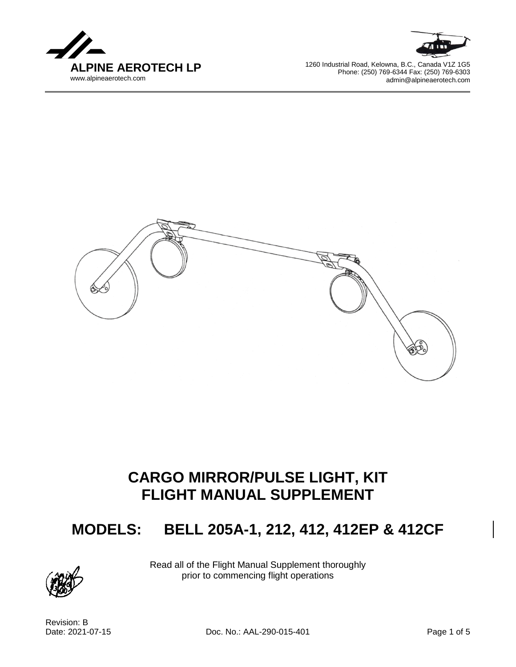



1260 Industrial Road, Kelowna, B.C., Canada V1Z 1G5 Phone: (250) 769-6344 Fax: (250) 769-6303 admin@alpineaerotech.com



# **CARGO MIRROR/PULSE LIGHT, KIT FLIGHT MANUAL SUPPLEMENT**

## **MODELS: BELL 205A-1, 212, 412, 412EP & 412CF**



Read all of the Flight Manual Supplement thoroughly prior to commencing flight operations

Revision: B

Date: 2021-07-15 Doc. No.: AAL-290-015-401 Page 1 of 5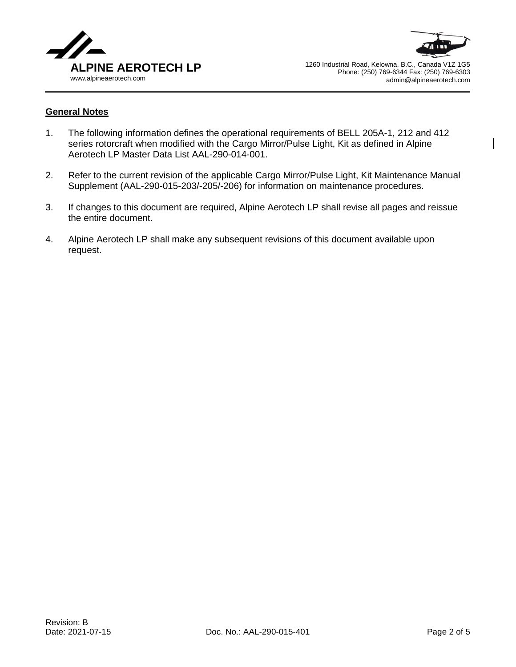



#### **General Notes**

- 1. The following information defines the operational requirements of BELL 205A-1, 212 and 412 series rotorcraft when modified with the Cargo Mirror/Pulse Light, Kit as defined in Alpine Aerotech LP Master Data List AAL-290-014-001.
- 2. Refer to the current revision of the applicable Cargo Mirror/Pulse Light, Kit Maintenance Manual Supplement (AAL-290-015-203/-205/-206) for information on maintenance procedures.
- 3. If changes to this document are required, Alpine Aerotech LP shall revise all pages and reissue the entire document.
- 4. Alpine Aerotech LP shall make any subsequent revisions of this document available upon request.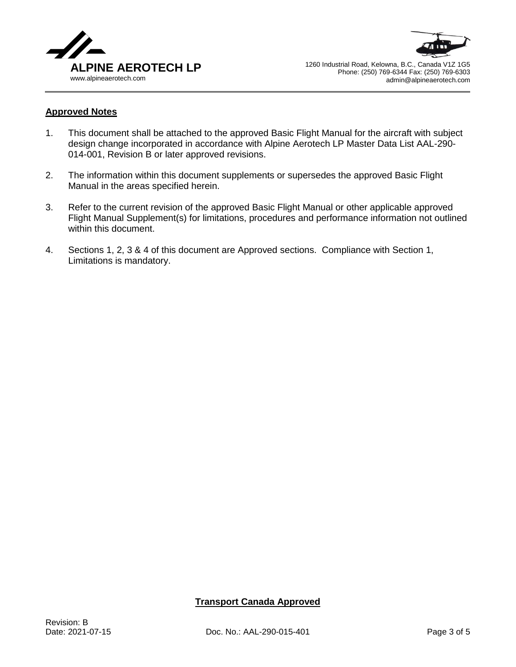



#### **Approved Notes**

- 1. This document shall be attached to the approved Basic Flight Manual for the aircraft with subject design change incorporated in accordance with Alpine Aerotech LP Master Data List AAL-290- 014-001, Revision B or later approved revisions.
- 2. The information within this document supplements or supersedes the approved Basic Flight Manual in the areas specified herein.
- 3. Refer to the current revision of the approved Basic Flight Manual or other applicable approved Flight Manual Supplement(s) for limitations, procedures and performance information not outlined within this document.
- 4. Sections 1, 2, 3 & 4 of this document are Approved sections. Compliance with Section 1, Limitations is mandatory.

## **Transport Canada Approved**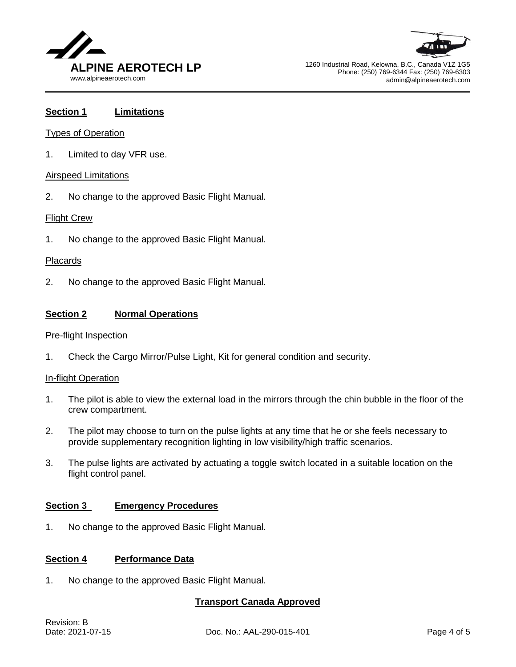



1260 Industrial Road, Kelowna, B.C., Canada V1Z 1G5 Phone: (250) 769-6344 Fax: (250) 769-6303 admin@alpineaerotech.com

### **Section 1 Limitations**

#### Types of Operation

1. Limited to day VFR use.

#### Airspeed Limitations

2. No change to the approved Basic Flight Manual.

#### Flight Crew

1. No change to the approved Basic Flight Manual.

#### Placards

2. No change to the approved Basic Flight Manual.

#### **Section 2 Normal Operations**

#### Pre-flight Inspection

1. Check the Cargo Mirror/Pulse Light, Kit for general condition and security.

#### In-flight Operation

- 1. The pilot is able to view the external load in the mirrors through the chin bubble in the floor of the crew compartment.
- 2. The pilot may choose to turn on the pulse lights at any time that he or she feels necessary to provide supplementary recognition lighting in low visibility/high traffic scenarios.
- 3. The pulse lights are activated by actuating a toggle switch located in a suitable location on the flight control panel.

#### **Section 3 Emergency Procedures**

1. No change to the approved Basic Flight Manual.

#### **Section 4 Performance Data**

1. No change to the approved Basic Flight Manual.

#### **Transport Canada Approved**